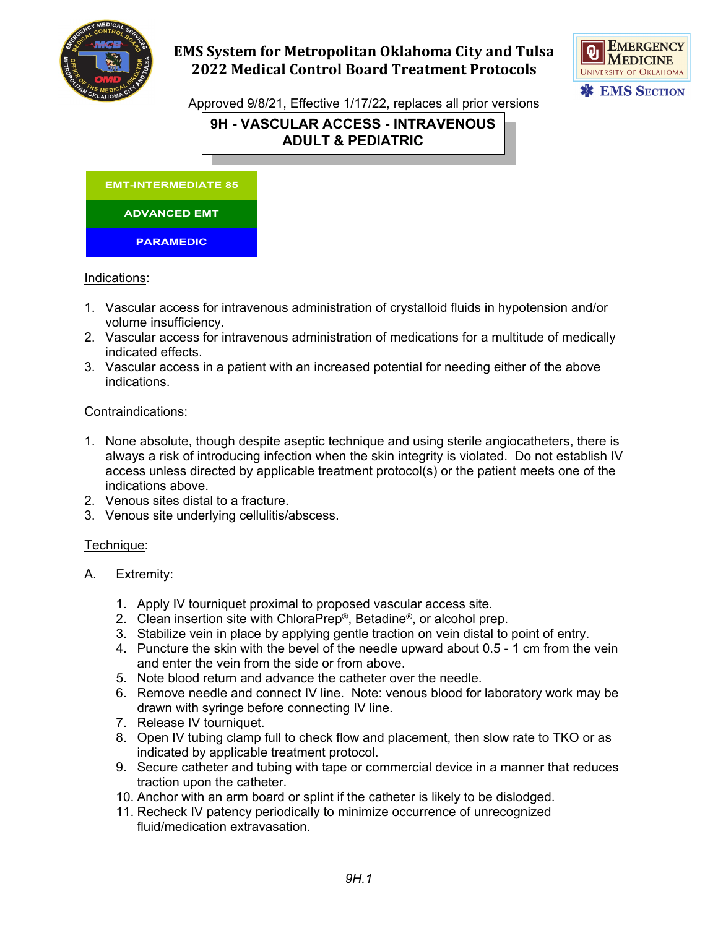

# **EMS System for Metropolitan Oklahoma City and Tulsa 2022 Medical Control Board Treatment Protocols**



Approved 9/8/21, Effective 1/17/22, replaces all prior versions

# **9H - VASCULAR ACCESS - INTRAVENOUS ADULT & PEDIATRIC**



### Indications:

- 1. Vascular access for intravenous administration of crystalloid fluids in hypotension and/or volume insufficiency.
- 2. Vascular access for intravenous administration of medications for a multitude of medically indicated effects.
- 3. Vascular access in a patient with an increased potential for needing either of the above indications.

## Contraindications:

- 1. None absolute, though despite aseptic technique and using sterile angiocatheters, there is always a risk of introducing infection when the skin integrity is violated. Do not establish IV access unless directed by applicable treatment protocol(s) or the patient meets one of the indications above.
- 2. Venous sites distal to a fracture.
- 3. Venous site underlying cellulitis/abscess.

### Technique:

- A. Extremity:
	- 1. Apply IV tourniquet proximal to proposed vascular access site.
	- 2. Clean insertion site with ChloraPrep®, Betadine®, or alcohol prep.
	- 3. Stabilize vein in place by applying gentle traction on vein distal to point of entry.
	- 4. Puncture the skin with the bevel of the needle upward about 0.5 1 cm from the vein and enter the vein from the side or from above.
	- 5. Note blood return and advance the catheter over the needle.
	- 6. Remove needle and connect IV line. Note: venous blood for laboratory work may be drawn with syringe before connecting IV line.
	- 7. Release IV tourniquet.
	- 8. Open IV tubing clamp full to check flow and placement, then slow rate to TKO or as indicated by applicable treatment protocol.
	- 9. Secure catheter and tubing with tape or commercial device in a manner that reduces traction upon the catheter.
	- 10. Anchor with an arm board or splint if the catheter is likely to be dislodged.
	- 11. Recheck IV patency periodically to minimize occurrence of unrecognized fluid/medication extravasation.